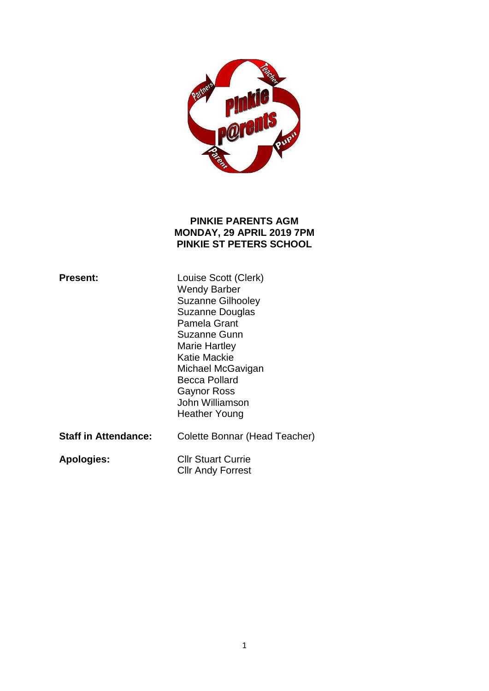

### **PINKIE PARENTS AGM MONDAY, 29 APRIL 2019 7PM PINKIE ST PETERS SCHOOL**

| <b>Present:</b>             | Louise Scott (Clerk)<br><b>Wendy Barber</b><br><b>Suzanne Gilhooley</b><br><b>Suzanne Douglas</b><br>Pamela Grant<br>Suzanne Gunn<br>Marie Hartley<br>Katie Mackie<br>Michael McGavigan<br>Becca Pollard<br>Gaynor Ross<br>John Williamson<br>Heather Young |
|-----------------------------|-------------------------------------------------------------------------------------------------------------------------------------------------------------------------------------------------------------------------------------------------------------|
| <b>Staff in Attendance:</b> | Colette Bonnar (Head Teacher)                                                                                                                                                                                                                               |
| <b>Apologies:</b>           | <b>Cllr Stuart Currie</b><br><b>Cllr Andy Forrest</b>                                                                                                                                                                                                       |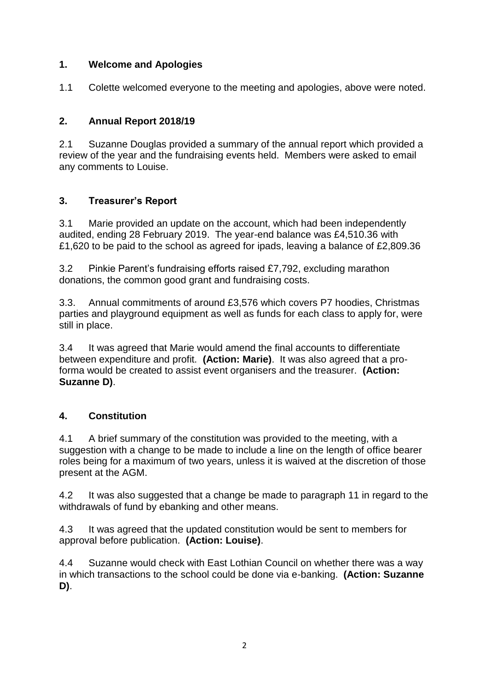### **1. Welcome and Apologies**

1.1 Colette welcomed everyone to the meeting and apologies, above were noted.

# **2. Annual Report 2018/19**

2.1 Suzanne Douglas provided a summary of the annual report which provided a review of the year and the fundraising events held. Members were asked to email any comments to Louise.

## **3. Treasurer's Report**

3.1 Marie provided an update on the account, which had been independently audited, ending 28 February 2019. The year-end balance was £4,510.36 with £1,620 to be paid to the school as agreed for ipads, leaving a balance of £2,809.36

3.2 Pinkie Parent's fundraising efforts raised £7,792, excluding marathon donations, the common good grant and fundraising costs.

3.3. Annual commitments of around £3,576 which covers P7 hoodies, Christmas parties and playground equipment as well as funds for each class to apply for, were still in place.

3.4 It was agreed that Marie would amend the final accounts to differentiate between expenditure and profit. **(Action: Marie)**. It was also agreed that a proforma would be created to assist event organisers and the treasurer. **(Action: Suzanne D)**.

## **4. Constitution**

4.1 A brief summary of the constitution was provided to the meeting, with a suggestion with a change to be made to include a line on the length of office bearer roles being for a maximum of two years, unless it is waived at the discretion of those present at the AGM.

4.2 It was also suggested that a change be made to paragraph 11 in regard to the withdrawals of fund by ebanking and other means.

4.3 It was agreed that the updated constitution would be sent to members for approval before publication. **(Action: Louise)**.

4.4 Suzanne would check with East Lothian Council on whether there was a way in which transactions to the school could be done via e-banking. **(Action: Suzanne D)**.